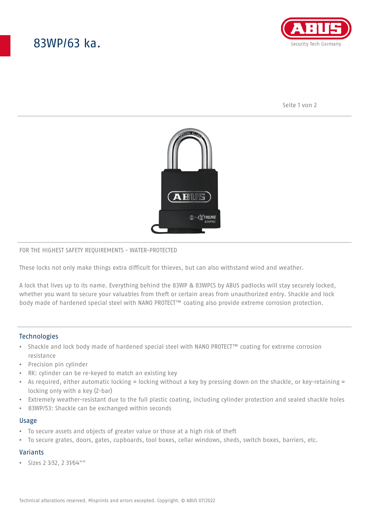# 83WP/63 ka.



Seite 1 von 2



#### FOR THE HIGHEST SAFETY REQUIREMENTS - WATER-PROTECTED

These locks not only make things extra difficult for thieves, but can also withstand wind and weather.

A lock that lives up to its name. Everything behind the 83WP & 83WPCS by ABUS padlocks will stay securely locked, whether you want to secure your valuables from theft or certain areas from unauthorized entry. Shackle and lock body made of hardened special steel with NANO PROTECT™ coating also provide extreme corrosion protection.

## **Technologies**

- Shackle and lock body made of hardened special steel with NANO PROTECT™ coating for extreme corrosion resistance
- Precision pin cylinder
- RK: cylinder can be re-keyed to match an existing key
- As required, either automatic locking = locking without a key by pressing down on the shackle, or key-retaining = locking only with a key (Z-bar)
- Extremely weather-resistant due to the full plastic coating, including cylinder protection and sealed shackle holes
- 83WP/53: Shackle can be exchanged within seconds

#### Usage

- To secure assets and objects of greater value or those at a high risk of theft
- To secure grates, doors, gates, cupboards, tool boxes, cellar windows, sheds, switch boxes, barriers, etc.

## Variants

• Sizes 2 3⁄32, 2 31⁄64""